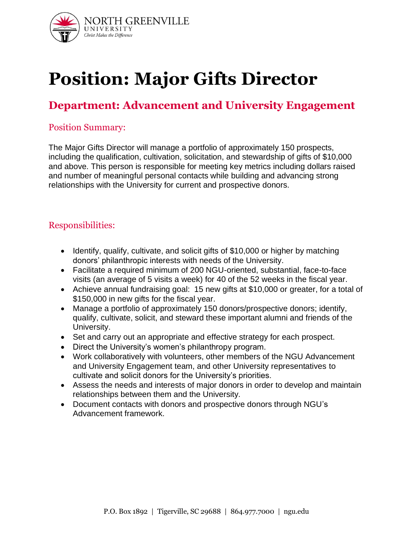

# **Position: Major Gifts Director**

## **Department: Advancement and University Engagement**

## Position Summary:

The Major Gifts Director will manage a portfolio of approximately 150 prospects, including the qualification, cultivation, solicitation, and stewardship of gifts of \$10,000 and above. This person is responsible for meeting key metrics including dollars raised and number of meaningful personal contacts while building and advancing strong relationships with the University for current and prospective donors.

## Responsibilities:

- Identify, qualify, cultivate, and solicit gifts of \$10,000 or higher by matching donors' philanthropic interests with needs of the University.
- Facilitate a required minimum of 200 NGU-oriented, substantial, face-to-face visits (an average of 5 visits a week) for 40 of the 52 weeks in the fiscal year.
- Achieve annual fundraising goal: 15 new gifts at \$10,000 or greater, for a total of \$150,000 in new gifts for the fiscal year.
- Manage a portfolio of approximately 150 donors/prospective donors; identify, qualify, cultivate, solicit, and steward these important alumni and friends of the University.
- Set and carry out an appropriate and effective strategy for each prospect.
- Direct the University's women's philanthropy program.
- Work collaboratively with volunteers, other members of the NGU Advancement and University Engagement team, and other University representatives to cultivate and solicit donors for the University's priorities.
- Assess the needs and interests of major donors in order to develop and maintain relationships between them and the University.
- Document contacts with donors and prospective donors through NGU's Advancement framework.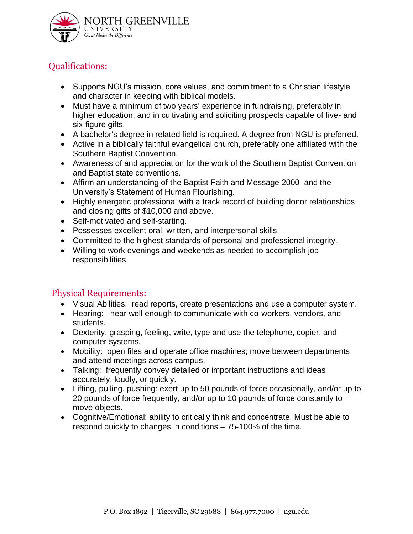

## Qualifications:

- Supports NGU's mission, core values, and commitment to a Christian lifestyle and character in keeping with biblical models.
- Must have a minimum of two years' experience in fundraising, preferably in higher education, and in cultivating and soliciting prospects capable of five- and six-figure gifts.
- A bachelor's degree in related field is required. A degree from NGU is preferred.
- Active in a biblically faithful evangelical church, preferably one affiliated with the Southern Baptist Convention.
- Awareness of and appreciation for the work of the Southern Baptist Convention and Baptist state conventions.
- Affirm an understanding of the Baptist Faith and Message 2000 and the University's Statement of Human Flourishing.
- Highly energetic professional with a track record of building donor relationships and closing gifts of \$10,000 and above.
- Self-motivated and self-starting.
- Possesses excellent oral, written, and interpersonal skills.
- Committed to the highest standards of personal and professional integrity.
- Willing to work evenings and weekends as needed to accomplish job responsibilities.

## Physical Requirements:

- Visual Abilities: read reports, create presentations and use a computer system.
- Hearing: hear well enough to communicate with co-workers, vendors, and students.
- Dexterity, grasping, feeling, write, type and use the telephone, copier, and computer systems.
- Mobility: open files and operate office machines; move between departments and attend meetings across campus.
- Talking: frequently convey detailed or important instructions and ideas accurately, loudly, or quickly.
- Lifting, pulling, pushing: exert up to 50 pounds of force occasionally, and/or up to 20 pounds of force frequently, and/or up to 10 pounds of force constantly to move objects.
- Cognitive/Emotional: ability to critically think and concentrate. Must be able to respond quickly to changes in conditions – 75‐100% of the time.